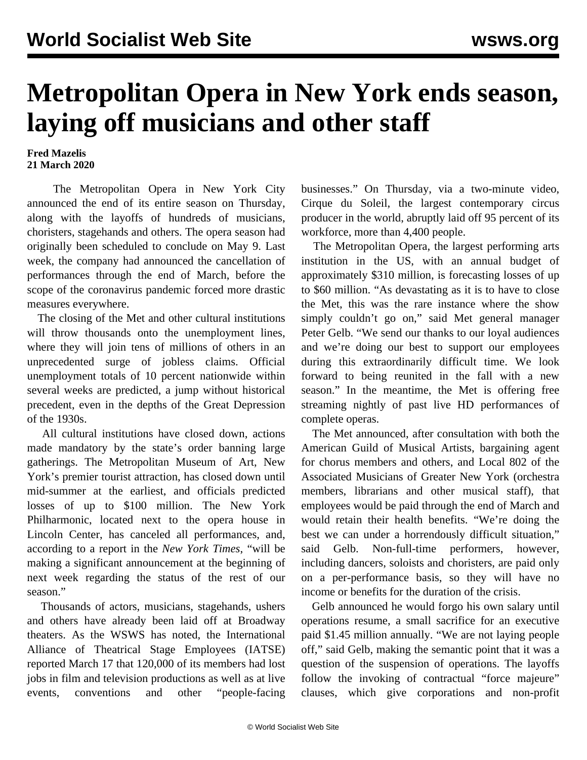## **Metropolitan Opera in New York ends season, laying off musicians and other staff**

## **Fred Mazelis 21 March 2020**

 The Metropolitan Opera in New York City announced the end of its entire season on Thursday, along with the layoffs of hundreds of musicians, choristers, stagehands and others. The opera season had originally been scheduled to conclude on May 9. Last week, the company had announced the cancellation of performances through the end of March, before the scope of the coronavirus pandemic forced more drastic measures everywhere.

 The closing of the Met and other cultural institutions will throw thousands onto the unemployment lines, where they will join tens of millions of others in an unprecedented surge of jobless claims. Official unemployment totals of 10 percent nationwide within several weeks are predicted, a jump without historical precedent, even in the depths of the Great Depression of the 1930s.

 All cultural institutions have closed down, actions made mandatory by the state's order banning large gatherings. The Metropolitan Museum of Art, New York's premier tourist attraction, has closed down until mid-summer at the earliest, and officials predicted losses of up to \$100 million. The New York Philharmonic, located next to the opera house in Lincoln Center, has canceled all performances, and, according to a report in the *New York Times*, "will be making a significant announcement at the beginning of next week regarding the status of the rest of our season."

 Thousands of actors, musicians, stagehands, ushers and others have already been laid off at Broadway theaters. As the WSWS has noted, the International Alliance of Theatrical Stage Employees (IATSE) reported March 17 that 120,000 of its members had lost jobs in film and television productions as well as at live events, conventions and other "people-facing businesses." On Thursday, via a two-minute video, Cirque du Soleil, the largest contemporary circus producer in the world, abruptly laid off 95 percent of its workforce, more than 4,400 people.

 The Metropolitan Opera, the largest performing arts institution in the US, with an annual budget of approximately \$310 million, is forecasting losses of up to \$60 million. "As devastating as it is to have to close the Met, this was the rare instance where the show simply couldn't go on," said Met general manager Peter Gelb. "We send our thanks to our loyal audiences and we're doing our best to support our employees during this extraordinarily difficult time. We look forward to being reunited in the fall with a new season." In the meantime, the Met is offering free streaming nightly of past live HD performances of complete operas.

 The Met announced, after consultation with both the American Guild of Musical Artists, bargaining agent for chorus members and others, and Local 802 of the Associated Musicians of Greater New York (orchestra members, librarians and other musical staff), that employees would be paid through the end of March and would retain their health benefits. "We're doing the best we can under a horrendously difficult situation," said Gelb. Non-full-time performers, however, including dancers, soloists and choristers, are paid only on a per-performance basis, so they will have no income or benefits for the duration of the crisis.

 Gelb announced he would forgo his own salary until operations resume, a small sacrifice for an executive paid \$1.45 million annually. "We are not laying people off," said Gelb, making the semantic point that it was a question of the suspension of operations. The layoffs follow the invoking of contractual "force majeure" clauses, which give corporations and non-profit